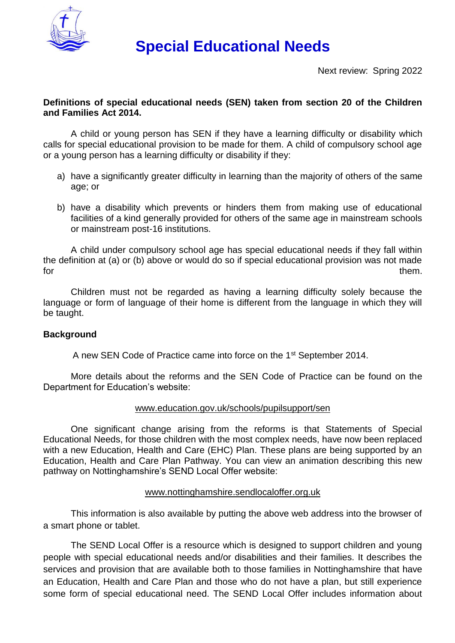

# **Special Educational Needs**

Next review: Spring 2022

## **Definitions of special educational needs (SEN) taken from section 20 of the Children and Families Act 2014.**

A child or young person has SEN if they have a learning difficulty or disability which calls for special educational provision to be made for them. A child of compulsory school age or a young person has a learning difficulty or disability if they:

- a) have a significantly greater difficulty in learning than the majority of others of the same age; or
- b) have a disability which prevents or hinders them from making use of educational facilities of a kind generally provided for others of the same age in mainstream schools or mainstream post-16 institutions.

A child under compulsory school age has special educational needs if they fall within the definition at (a) or (b) above or would do so if special educational provision was not made for them.

Children must not be regarded as having a learning difficulty solely because the language or form of language of their home is different from the language in which they will be taught.

## **Background**

A new SEN Code of Practice came into force on the 1st September 2014.

More details about the reforms and the SEN Code of Practice can be found on the Department for Education's website:

#### [www.education.gov.uk/schools/pupilsupport/sen](http://www.education.gov.uk/schools/pupilsupport/sen)

One significant change arising from the reforms is that Statements of Special Educational Needs, for those children with the most complex needs, have now been replaced with a new Education, Health and Care (EHC) Plan. These plans are being supported by an Education, Health and Care Plan Pathway. You can view an animation describing this new pathway on Nottinghamshire's SEND Local Offer website:

#### [www.nottinghamshire.sendlocaloffer.org.uk](http://www.nottinghamshire.sendlocaloffer.org.uk/)

This information is also available by putting the above web address into the browser of a smart phone or tablet.

The SEND Local Offer is a resource which is designed to support children and young people with special educational needs and/or disabilities and their families. It describes the services and provision that are available both to those families in Nottinghamshire that have an Education, Health and Care Plan and those who do not have a plan, but still experience some form of special educational need. The SEND Local Offer includes information about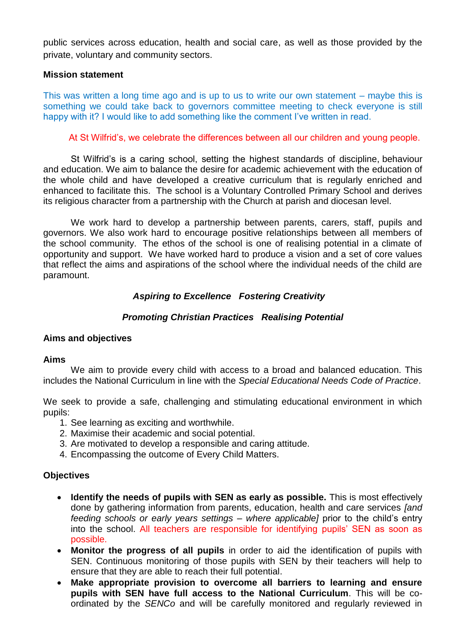public services across education, health and social care, as well as those provided by the private, voluntary and community sectors.

#### **Mission statement**

This was written a long time ago and is up to us to write our own statement – maybe this is something we could take back to governors committee meeting to check everyone is still happy with it? I would like to add something like the comment I've written in read.

#### At St Wilfrid's, we celebrate the differences between all our children and young people.

St Wilfrid's is a caring school, setting the highest standards of discipline, behaviour and education. We aim to balance the desire for academic achievement with the education of the whole child and have developed a creative curriculum that is regularly enriched and enhanced to facilitate this. The school is a Voluntary Controlled Primary School and derives its religious character from a partnership with the Church at parish and diocesan level.

We work hard to develop a partnership between parents, carers, staff, pupils and governors. We also work hard to encourage positive relationships between all members of the school community. The ethos of the school is one of realising potential in a climate of opportunity and support. We have worked hard to produce a vision and a set of core values that reflect the aims and aspirations of the school where the individual needs of the child are paramount.

## *Aspiring to Excellence Fostering Creativity*

## *Promoting Christian Practices Realising Potential*

## **Aims and objectives**

#### **Aims**

We aim to provide every child with access to a broad and balanced education. This includes the National Curriculum in line with the *Special Educational Needs Code of Practice*.

We seek to provide a safe, challenging and stimulating educational environment in which pupils:

- 1. See learning as exciting and worthwhile.
- 2. Maximise their academic and social potential.
- 3. Are motivated to develop a responsible and caring attitude.
- 4. Encompassing the outcome of Every Child Matters.

#### **Objectives**

- **Identify the needs of pupils with SEN as early as possible.** This is most effectively done by gathering information from parents, education, health and care services *[and feeding schools or early years settings – where applicable]* prior to the child's entry into the school. All teachers are responsible for identifying pupils' SEN as soon as possible.
- **Monitor the progress of all pupils** in order to aid the identification of pupils with SEN. Continuous monitoring of those pupils with SEN by their teachers will help to ensure that they are able to reach their full potential.
- **Make appropriate provision to overcome all barriers to learning and ensure pupils with SEN have full access to the National Curriculum**. This will be coordinated by the *SENCo* and will be carefully monitored and regularly reviewed in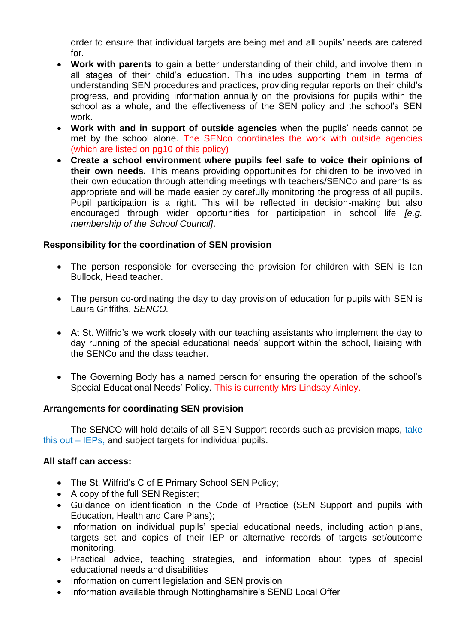order to ensure that individual targets are being met and all pupils' needs are catered for.

- **Work with parents** to gain a better understanding of their child, and involve them in all stages of their child's education. This includes supporting them in terms of understanding SEN procedures and practices, providing regular reports on their child's progress, and providing information annually on the provisions for pupils within the school as a whole, and the effectiveness of the SEN policy and the school's SEN work.
- **Work with and in support of outside agencies** when the pupils' needs cannot be met by the school alone. The SENco coordinates the work with outside agencies (which are listed on pg10 of this policy)
- **Create a school environment where pupils feel safe to voice their opinions of their own needs.** This means providing opportunities for children to be involved in their own education through attending meetings with teachers/SENCo and parents as appropriate and will be made easier by carefully monitoring the progress of all pupils. Pupil participation is a right. This will be reflected in decision-making but also encouraged through wider opportunities for participation in school life *[e.g. membership of the School Council]*.

## **Responsibility for the coordination of SEN provision**

- The person responsible for overseeing the provision for children with SEN is lan Bullock, Head teacher.
- The person co-ordinating the day to day provision of education for pupils with SEN is Laura Griffiths, *SENCO.*
- At St. Wilfrid's we work closely with our teaching assistants who implement the day to day running of the special educational needs' support within the school, liaising with the SENCo and the class teacher.
- The Governing Body has a named person for ensuring the operation of the school's Special Educational Needs' Policy. This is currently Mrs Lindsay Ainley.

## **Arrangements for coordinating SEN provision**

The SENCO will hold details of all SEN Support records such as provision maps, take this out – IEPs, and subject targets for individual pupils.

## **All staff can access:**

- The St. Wilfrid's C of E Primary School SEN Policy;
- A copy of the full SEN Register;
- Guidance on identification in the Code of Practice (SEN Support and pupils with Education, Health and Care Plans);
- Information on individual pupils' special educational needs, including action plans, targets set and copies of their IEP or alternative records of targets set/outcome monitoring.
- Practical advice, teaching strategies, and information about types of special educational needs and disabilities
- Information on current legislation and SEN provision
- Information available through Nottinghamshire's SEND Local Offer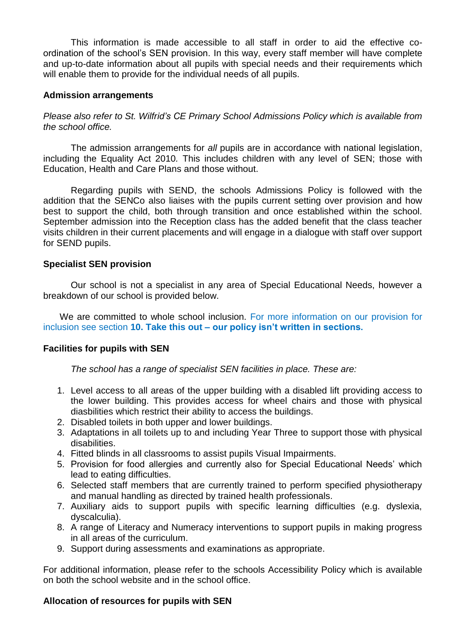This information is made accessible to all staff in order to aid the effective coordination of the school's SEN provision. In this way, every staff member will have complete and up-to-date information about all pupils with special needs and their requirements which will enable them to provide for the individual needs of all pupils.

## **Admission arrangements**

*Please also refer to St. Wilfrid's CE Primary School Admissions Policy which is available from the school office.*

The admission arrangements for *all* pupils are in accordance with national legislation, including the Equality Act 2010*.* This includes children with any level of SEN; those with Education, Health and Care Plans and those without.

Regarding pupils with SEND, the schools Admissions Policy is followed with the addition that the SENCo also liaises with the pupils current setting over provision and how best to support the child, both through transition and once established within the school. September admission into the Reception class has the added benefit that the class teacher visits children in their current placements and will engage in a dialogue with staff over support for SEND pupils.

## **Specialist SEN provision**

Our school is not a specialist in any area of Special Educational Needs, however a breakdown of our school is provided below.

We are committed to whole school inclusion. For more information on our provision for inclusion see section **10. Take this out – our policy isn't written in sections.** 

## **Facilities for pupils with SEN**

*The school has a range of specialist SEN facilities in place. These are:*

- 1. Level access to all areas of the upper building with a disabled lift providing access to the lower building. This provides access for wheel chairs and those with physical diasbilities which restrict their ability to access the buildings.
- 2. Disabled toilets in both upper and lower buildings.
- 3. Adaptations in all toilets up to and including Year Three to support those with physical disabilities.
- 4. Fitted blinds in all classrooms to assist pupils Visual Impairments.
- 5. Provision for food allergies and currently also for Special Educational Needs' which lead to eating difficulties.
- 6. Selected staff members that are currently trained to perform specified physiotherapy and manual handling as directed by trained health professionals.
- 7. Auxiliary aids to support pupils with specific learning difficulties (e.g. dyslexia, dyscalculia).
- 8. A range of Literacy and Numeracy interventions to support pupils in making progress in all areas of the curriculum.
- 9. Support during assessments and examinations as appropriate.

For additional information, please refer to the schools Accessibility Policy which is available on both the school website and in the school office.

## **Allocation of resources for pupils with SEN**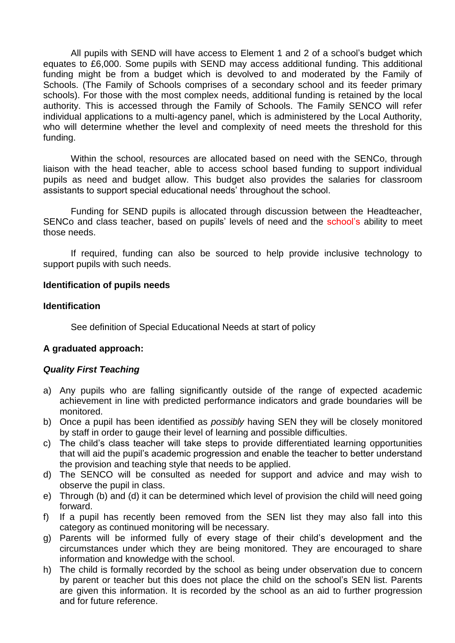All pupils with SEND will have access to Element 1 and 2 of a school's budget which equates to £6,000. Some pupils with SEND may access additional funding. This additional funding might be from a budget which is devolved to and moderated by the Family of Schools. (The Family of Schools comprises of a secondary school and its feeder primary schools). For those with the most complex needs, additional funding is retained by the local authority. This is accessed through the Family of Schools. The Family SENCO will refer individual applications to a multi-agency panel, which is administered by the Local Authority, who will determine whether the level and complexity of need meets the threshold for this funding.

Within the school, resources are allocated based on need with the SENCo, through liaison with the head teacher, able to access school based funding to support individual pupils as need and budget allow. This budget also provides the salaries for classroom assistants to support special educational needs' throughout the school.

Funding for SEND pupils is allocated through discussion between the Headteacher, SENCo and class teacher, based on pupils' levels of need and the school's ability to meet those needs.

If required, funding can also be sourced to help provide inclusive technology to support pupils with such needs.

#### **Identification of pupils needs**

#### **Identification**

See definition of Special Educational Needs at start of policy

## **A graduated approach:**

#### *Quality First Teaching*

- a) Any pupils who are falling significantly outside of the range of expected academic achievement in line with predicted performance indicators and grade boundaries will be monitored.
- b) Once a pupil has been identified as *possibly* having SEN they will be closely monitored by staff in order to gauge their level of learning and possible difficulties.
- c) The child's class teacher will take steps to provide differentiated learning opportunities that will aid the pupil's academic progression and enable the teacher to better understand the provision and teaching style that needs to be applied.
- d) The SENCO will be consulted as needed for support and advice and may wish to observe the pupil in class.
- e) Through (b) and (d) it can be determined which level of provision the child will need going forward.
- f) If a pupil has recently been removed from the SEN list they may also fall into this category as continued monitoring will be necessary.
- g) Parents will be informed fully of every stage of their child's development and the circumstances under which they are being monitored. They are encouraged to share information and knowledge with the school.
- h) The child is formally recorded by the school as being under observation due to concern by parent or teacher but this does not place the child on the school's SEN list. Parents are given this information. It is recorded by the school as an aid to further progression and for future reference.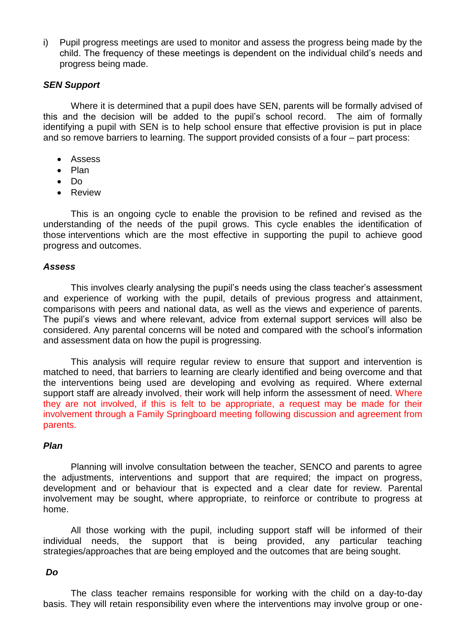i) Pupil progress meetings are used to monitor and assess the progress being made by the child. The frequency of these meetings is dependent on the individual child's needs and progress being made.

#### *SEN Support*

Where it is determined that a pupil does have SEN, parents will be formally advised of this and the decision will be added to the pupil's school record. The aim of formally identifying a pupil with SEN is to help school ensure that effective provision is put in place and so remove barriers to learning. The support provided consists of a four – part process:

- Assess
- Plan
- $\bullet$  Do
- **•** Review

This is an ongoing cycle to enable the provision to be refined and revised as the understanding of the needs of the pupil grows. This cycle enables the identification of those interventions which are the most effective in supporting the pupil to achieve good progress and outcomes.

#### *Assess*

This involves clearly analysing the pupil's needs using the class teacher's assessment and experience of working with the pupil, details of previous progress and attainment, comparisons with peers and national data, as well as the views and experience of parents. The pupil's views and where relevant, advice from external support services will also be considered. Any parental concerns will be noted and compared with the school's information and assessment data on how the pupil is progressing.

This analysis will require regular review to ensure that support and intervention is matched to need, that barriers to learning are clearly identified and being overcome and that the interventions being used are developing and evolving as required. Where external support staff are already involved, their work will help inform the assessment of need. Where they are not involved, if this is felt to be appropriate, a request may be made for their involvement through a Family Springboard meeting following discussion and agreement from parents.

#### *Plan*

Planning will involve consultation between the teacher, SENCO and parents to agree the adjustments, interventions and support that are required; the impact on progress, development and or behaviour that is expected and a clear date for review. Parental involvement may be sought, where appropriate, to reinforce or contribute to progress at home.

All those working with the pupil, including support staff will be informed of their individual needs, the support that is being provided, any particular teaching strategies/approaches that are being employed and the outcomes that are being sought.

#### *Do*

The class teacher remains responsible for working with the child on a day-to-day basis. They will retain responsibility even where the interventions may involve group or one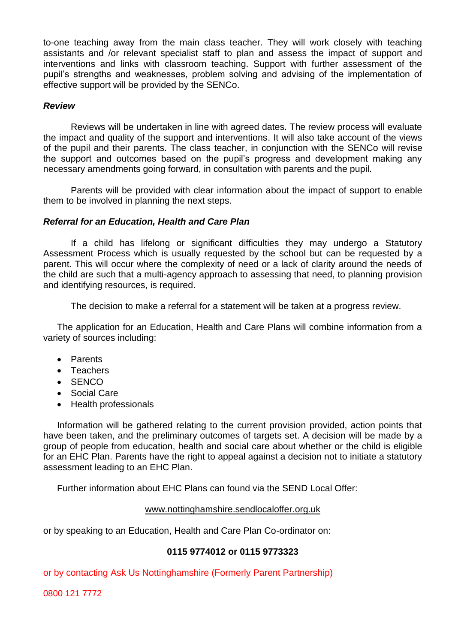to-one teaching away from the main class teacher. They will work closely with teaching assistants and /or relevant specialist staff to plan and assess the impact of support and interventions and links with classroom teaching. Support with further assessment of the pupil's strengths and weaknesses, problem solving and advising of the implementation of effective support will be provided by the SENCo.

## *Review*

Reviews will be undertaken in line with agreed dates. The review process will evaluate the impact and quality of the support and interventions. It will also take account of the views of the pupil and their parents. The class teacher, in conjunction with the SENCo will revise the support and outcomes based on the pupil's progress and development making any necessary amendments going forward, in consultation with parents and the pupil.

Parents will be provided with clear information about the impact of support to enable them to be involved in planning the next steps.

#### *Referral for an Education, Health and Care Plan*

If a child has lifelong or significant difficulties they may undergo a Statutory Assessment Process which is usually requested by the school but can be requested by a parent. This will occur where the complexity of need or a lack of clarity around the needs of the child are such that a multi-agency approach to assessing that need, to planning provision and identifying resources, is required.

The decision to make a referral for a statement will be taken at a progress review.

The application for an Education, Health and Care Plans will combine information from a variety of sources including:

- Parents
- Teachers
- $\bullet$  SENCO
- Social Care
- Health professionals

Information will be gathered relating to the current provision provided, action points that have been taken, and the preliminary outcomes of targets set. A decision will be made by a group of people from education, health and social care about whether or the child is eligible for an EHC Plan. Parents have the right to appeal against a decision not to initiate a statutory assessment leading to an EHC Plan.

Further information about EHC Plans can found via the SEND Local Offer:

#### [www.nottinghamshire.sendlocaloffer.org.uk](http://www.nottinghamshire.sendlocaloffer.org.uk/)

or by speaking to an Education, Health and Care Plan Co-ordinator on:

## **0115 9774012 or 0115 9773323**

or by contacting Ask Us Nottinghamshire (Formerly Parent Partnership)

0800 121 7772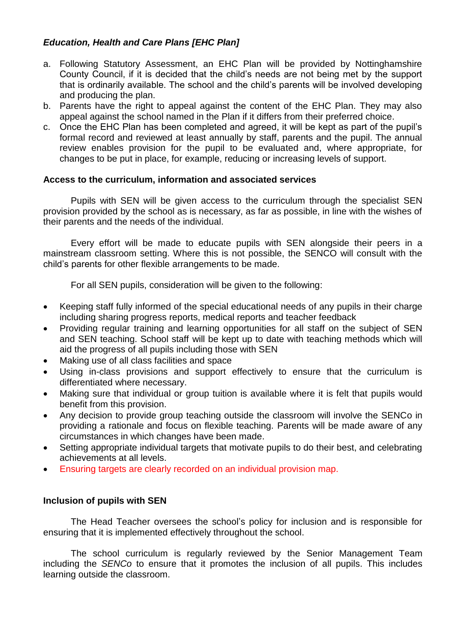# *Education, Health and Care Plans [EHC Plan]*

- a. Following Statutory Assessment, an EHC Plan will be provided by Nottinghamshire County Council, if it is decided that the child's needs are not being met by the support that is ordinarily available. The school and the child's parents will be involved developing and producing the plan.
- b. Parents have the right to appeal against the content of the EHC Plan. They may also appeal against the school named in the Plan if it differs from their preferred choice.
- c. Once the EHC Plan has been completed and agreed, it will be kept as part of the pupil's formal record and reviewed at least annually by staff, parents and the pupil. The annual review enables provision for the pupil to be evaluated and, where appropriate, for changes to be put in place, for example, reducing or increasing levels of support.

## **Access to the curriculum, information and associated services**

Pupils with SEN will be given access to the curriculum through the specialist SEN provision provided by the school as is necessary, as far as possible, in line with the wishes of their parents and the needs of the individual.

Every effort will be made to educate pupils with SEN alongside their peers in a mainstream classroom setting. Where this is not possible, the SENCO will consult with the child's parents for other flexible arrangements to be made.

For all SEN pupils, consideration will be given to the following:

- Keeping staff fully informed of the special educational needs of any pupils in their charge including sharing progress reports, medical reports and teacher feedback
- Providing regular training and learning opportunities for all staff on the subject of SEN and SEN teaching. School staff will be kept up to date with teaching methods which will aid the progress of all pupils including those with SEN
- Making use of all class facilities and space
- Using in-class provisions and support effectively to ensure that the curriculum is differentiated where necessary.
- Making sure that individual or group tuition is available where it is felt that pupils would benefit from this provision.
- Any decision to provide group teaching outside the classroom will involve the SENCo in providing a rationale and focus on flexible teaching. Parents will be made aware of any circumstances in which changes have been made.
- Setting appropriate individual targets that motivate pupils to do their best, and celebrating achievements at all levels.
- Ensuring targets are clearly recorded on an individual provision map.

## **Inclusion of pupils with SEN**

The Head Teacher oversees the school's policy for inclusion and is responsible for ensuring that it is implemented effectively throughout the school.

The school curriculum is regularly reviewed by the Senior Management Team including the *SENCo* to ensure that it promotes the inclusion of all pupils. This includes learning outside the classroom.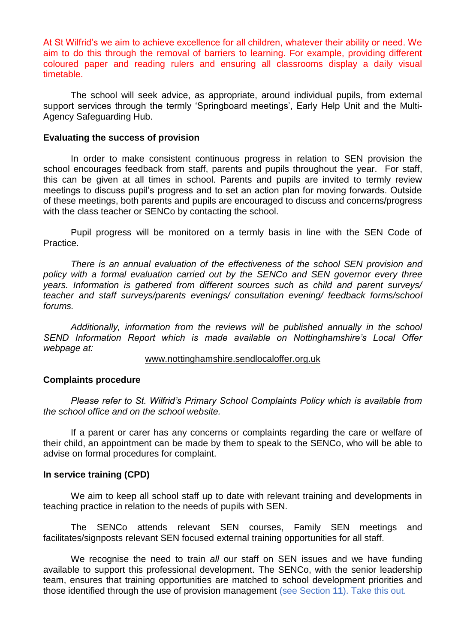At St Wilfrid's we aim to achieve excellence for all children, whatever their ability or need. We aim to do this through the removal of barriers to learning. For example, providing different coloured paper and reading rulers and ensuring all classrooms display a daily visual timetable.

The school will seek advice, as appropriate, around individual pupils, from external support services through the termly 'Springboard meetings', Early Help Unit and the Multi-Agency Safeguarding Hub.

#### **Evaluating the success of provision**

In order to make consistent continuous progress in relation to SEN provision the school encourages feedback from staff, parents and pupils throughout the year. For staff, this can be given at all times in school. Parents and pupils are invited to termly review meetings to discuss pupil's progress and to set an action plan for moving forwards. Outside of these meetings, both parents and pupils are encouraged to discuss and concerns/progress with the class teacher or SENCo by contacting the school.

Pupil progress will be monitored on a termly basis in line with the SEN Code of Practice.

*There is an annual evaluation of the effectiveness of the school SEN provision and policy with a formal evaluation carried out by the SENCo and SEN governor every three years. Information is gathered from different sources such as child and parent surveys/ teacher and staff surveys/parents evenings/ consultation evening/ feedback forms/school forums.*

*Additionally, information from the reviews will be published annually in the school SEND Information Report which is made available on Nottinghamshire's Local Offer webpage at:*

#### [www.nottinghamshire.sendlocaloffer.org.uk](http://www.nottinghamshire.sendlocaloffer.org.uk/)

#### **Complaints procedure**

*Please refer to St. Wilfrid's Primary School Complaints Policy which is available from the school office and on the school website.*

If a parent or carer has any concerns or complaints regarding the care or welfare of their child, an appointment can be made by them to speak to the SENCo, who will be able to advise on formal procedures for complaint.

#### **In service training (CPD)**

We aim to keep all school staff up to date with relevant training and developments in teaching practice in relation to the needs of pupils with SEN.

The SENCo attends relevant SEN courses, Family SEN meetings and facilitates/signposts relevant SEN focused external training opportunities for all staff.

We recognise the need to train *all* our staff on SEN issues and we have funding available to support this professional development. The SENCo, with the senior leadership team, ensures that training opportunities are matched to school development priorities and those identified through the use of provision management (see Section **11**). Take this out.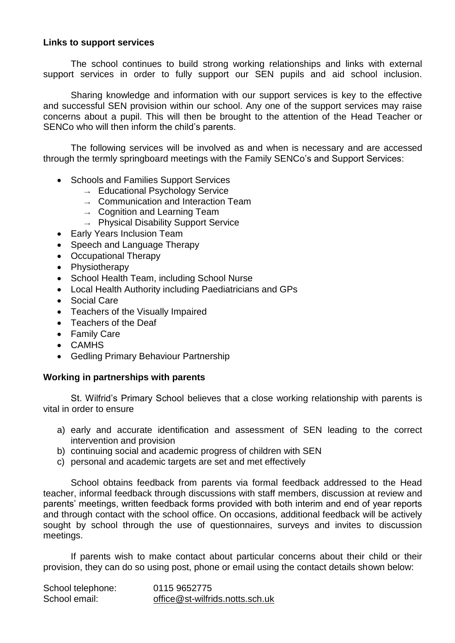## **Links to support services**

The school continues to build strong working relationships and links with external support services in order to fully support our SEN pupils and aid school inclusion.

Sharing knowledge and information with our support services is key to the effective and successful SEN provision within our school. Any one of the support services may raise concerns about a pupil. This will then be brought to the attention of the Head Teacher or SENCo who will then inform the child's parents.

The following services will be involved as and when is necessary and are accessed through the termly springboard meetings with the Family SENCo's and Support Services:

- Schools and Families Support Services
	- $\rightarrow$  Educational Psychology Service
	- $\rightarrow$  Communication and Interaction Team
	- $\rightarrow$  Cognition and Learning Team
	- $\rightarrow$  Physical Disability Support Service
- Early Years Inclusion Team
- Speech and Language Therapy
- Occupational Therapy
- Physiotherapy
- School Health Team, including School Nurse
- Local Health Authority including Paediatricians and GPs
- Social Care
- Teachers of the Visually Impaired
- Teachers of the Deaf
- Family Care
- CAMHS
- Gedling Primary Behaviour Partnership

## **Working in partnerships with parents**

St. Wilfrid's Primary School believes that a close working relationship with parents is vital in order to ensure

- a) early and accurate identification and assessment of SEN leading to the correct intervention and provision
- b) continuing social and academic progress of children with SEN
- c) personal and academic targets are set and met effectively

School obtains feedback from parents via formal feedback addressed to the Head teacher, informal feedback through discussions with staff members, discussion at review and parents' meetings, written feedback forms provided with both interim and end of year reports and through contact with the school office. On occasions, additional feedback will be actively sought by school through the use of questionnaires, surveys and invites to discussion meetings.

If parents wish to make contact about particular concerns about their child or their provision, they can do so using post, phone or email using the contact details shown below:

| School telephone: | 0115 9652775                    |
|-------------------|---------------------------------|
| School email:     | office@st-wilfrids.notts.sch.uk |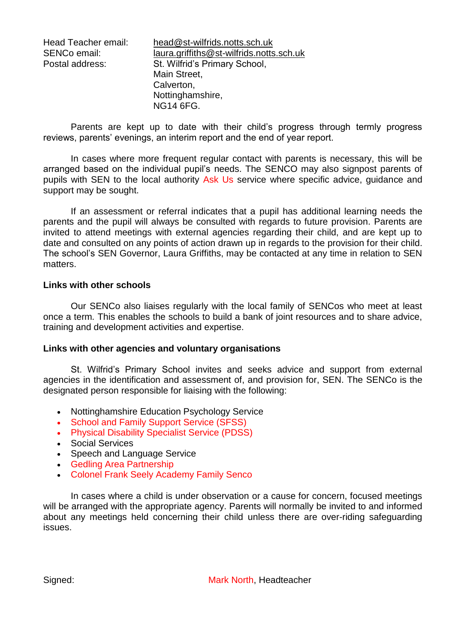| Head Teacher email: | head@st-wilfrids.notts.sch.uk            |
|---------------------|------------------------------------------|
| SENCo email:        | laura.griffiths@st-wilfrids.notts.sch.uk |
| Postal address:     | St. Wilfrid's Primary School,            |
|                     | Main Street,                             |
|                     | Calverton,                               |
|                     | Nottinghamshire,                         |
|                     | <b>NG14 6FG.</b>                         |

Parents are kept up to date with their child's progress through termly progress reviews, parents' evenings, an interim report and the end of year report.

In cases where more frequent regular contact with parents is necessary, this will be arranged based on the individual pupil's needs. The SENCO may also signpost parents of pupils with SEN to the local authority Ask Us service where specific advice, guidance and support may be sought.

If an assessment or referral indicates that a pupil has additional learning needs the parents and the pupil will always be consulted with regards to future provision. Parents are invited to attend meetings with external agencies regarding their child, and are kept up to date and consulted on any points of action drawn up in regards to the provision for their child. The school's SEN Governor, Laura Griffiths, may be contacted at any time in relation to SEN matters.

#### **Links with other schools**

Our SENCo also liaises regularly with the local family of SENCos who meet at least once a term*.* This enables the schools to build a bank of joint resources and to share advice, training and development activities and expertise.

#### **Links with other agencies and voluntary organisations**

St. Wilfrid's Primary School invites and seeks advice and support from external agencies in the identification and assessment of, and provision for, SEN. The SENCo is the designated person responsible for liaising with the following:

- Nottinghamshire Education Psychology Service
- School and Family Support Service (SFSS)
- Physical Disability Specialist Service (PDSS)
- Social Services
- Speech and Language Service
- Gedling Area Partnership
- Colonel Frank Seely Academy Family Senco

In cases where a child is under observation or a cause for concern, focused meetings will be arranged with the appropriate agency. Parents will normally be invited to and informed about any meetings held concerning their child unless there are over-riding safeguarding issues.